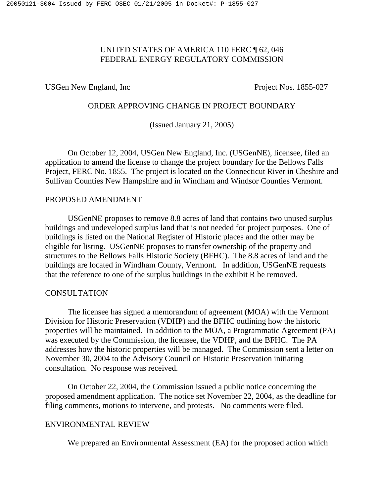# UNITED STATES OF AMERICA 110 FERC ¶ 62, 046 FEDERAL ENERGY REGULATORY COMMISSION

USGen New England, Inc Project Nos. 1855-027

# ORDER APPROVING CHANGE IN PROJECT BOUNDARY

(Issued January 21, 2005)

On October 12, 2004, USGen New England, Inc. (USGenNE), licensee, filed an application to amend the license to change the project boundary for the Bellows Falls Project, FERC No. 1855. The project is located on the Connecticut River in Cheshire and Sullivan Counties New Hampshire and in Windham and Windsor Counties Vermont.

#### PROPOSED AMENDMENT

USGenNE proposes to remove 8.8 acres of land that contains two unused surplus buildings and undeveloped surplus land that is not needed for project purposes. One of buildings is listed on the National Register of Historic places and the other may be eligible for listing. USGenNE proposes to transfer ownership of the property and structures to the Bellows Falls Historic Society (BFHC). The 8.8 acres of land and the buildings are located in Windham County, Vermont. In addition, USGenNE requests that the reference to one of the surplus buildings in the exhibit R be removed.

## **CONSULTATION**

The licensee has signed a memorandum of agreement (MOA) with the Vermont Division for Historic Preservation (VDHP) and the BFHC outlining how the historic properties will be maintained. In addition to the MOA, a Programmatic Agreement (PA) was executed by the Commission, the licensee, the VDHP, and the BFHC. The PA addresses how the historic properties will be managed. The Commission sent a letter on November 30, 2004 to the Advisory Council on Historic Preservation initiating consultation. No response was received.

On October 22, 2004, the Commission issued a public notice concerning the proposed amendment application. The notice set November 22, 2004, as the deadline for filing comments, motions to intervene, and protests. No comments were filed.

# ENVIRONMENTAL REVIEW

We prepared an Environmental Assessment (EA) for the proposed action which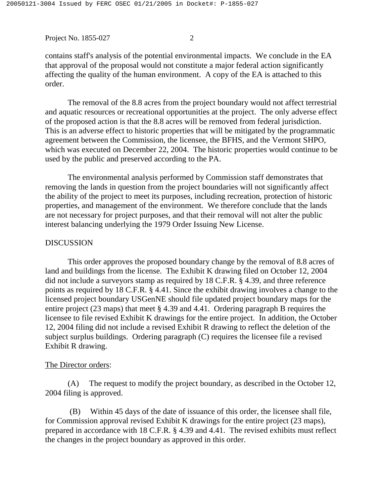contains staff's analysis of the potential environmental impacts. We conclude in the EA that approval of the proposal would not constitute a major federal action significantly affecting the quality of the human environment. A copy of the EA is attached to this order.

The removal of the 8.8 acres from the project boundary would not affect terrestrial and aquatic resources or recreational opportunities at the project. The only adverse effect of the proposed action is that the 8.8 acres will be removed from federal jurisdiction. This is an adverse effect to historic properties that will be mitigated by the programmatic agreement between the Commission, the licensee, the BFHS, and the Vermont SHPO, which was executed on December 22, 2004. The historic properties would continue to be used by the public and preserved according to the PA.

The environmental analysis performed by Commission staff demonstrates that removing the lands in question from the project boundaries will not significantly affect the ability of the project to meet its purposes, including recreation, protection of historic properties, and management of the environment. We therefore conclude that the lands are not necessary for project purposes, and that their removal will not alter the public interest balancing underlying the 1979 Order Issuing New License.

## DISCUSSION

This order approves the proposed boundary change by the removal of 8.8 acres of land and buildings from the license. The Exhibit K drawing filed on October 12, 2004 did not include a surveyors stamp as required by 18 C.F.R. § 4.39, and three reference points as required by 18 C.F.R. § 4.41. Since the exhibit drawing involves a change to the licensed project boundary USGenNE should file updated project boundary maps for the entire project (23 maps) that meet § 4.39 and 4.41. Ordering paragraph B requires the licensee to file revised Exhibit K drawings for the entire project. In addition, the October 12, 2004 filing did not include a revised Exhibit R drawing to reflect the deletion of the subject surplus buildings. Ordering paragraph (C) requires the licensee file a revised Exhibit R drawing.

## The Director orders:

(A) The request to modify the project boundary, as described in the October 12, 2004 filing is approved.

(B) Within 45 days of the date of issuance of this order, the licensee shall file, for Commission approval revised Exhibit K drawings for the entire project (23 maps), prepared in accordance with 18 C.F.R. § 4.39 and 4.41. The revised exhibits must reflect the changes in the project boundary as approved in this order.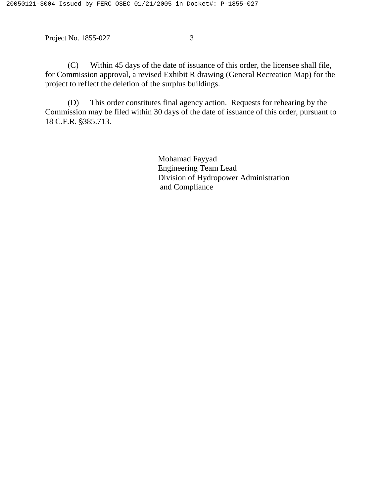(C) Within 45 days of the date of issuance of this order, the licensee shall file, for Commission approval, a revised Exhibit R drawing (General Recreation Map) for the project to reflect the deletion of the surplus buildings.

(D) This order constitutes final agency action. Requests for rehearing by the Commission may be filed within 30 days of the date of issuance of this order, pursuant to 18 C.F.R. §385.713.

> Mohamad Fayyad Engineering Team Lead Division of Hydropower Administration and Compliance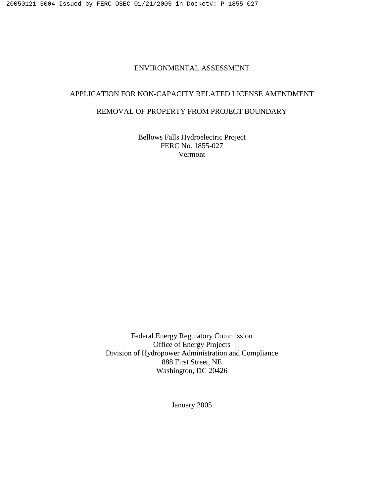#### ENVIRONMENTAL ASSESSMENT

## APPLICATION FOR NON-CAPACITY RELATED LICENSE AMENDMENT

#### REMOVAL OF PROPERTY FROM PROJECT BOUNDARY

Bellows Falls Hydroelectric Project FERC No. 1855-027 Vermont

Federal Energy Regulatory Commission Office of Energy Projects Division of Hydropower Administration and Compliance 888 First Street, NE Washington, DC 20426

January 2005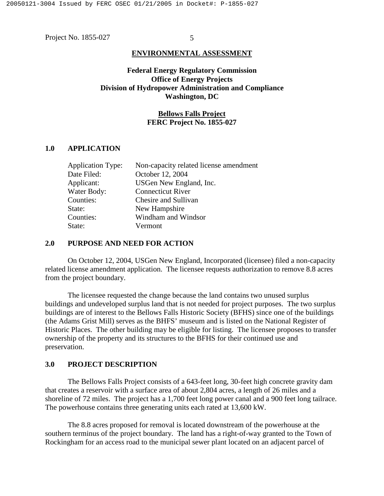#### **ENVIRONMENTAL ASSESSMENT**

## **Federal Energy Regulatory Commission Office of Energy Projects Division of Hydropower Administration and Compliance Washington, DC**

#### **Bellows Falls Project FERC Project No. 1855-027**

## **1.0 APPLICATION**

| <b>Application Type:</b> | Non-capacity related license amendment |
|--------------------------|----------------------------------------|
| Date Filed:              | October 12, 2004                       |
| Applicant:               | USGen New England, Inc.                |
| Water Body:              | <b>Connecticut River</b>               |
| Counties:                | Chesire and Sullivan                   |
| State:                   | New Hampshire                          |
| Counties:                | Windham and Windsor                    |
| State:                   | Vermont                                |
|                          |                                        |

#### **2.0 PURPOSE AND NEED FOR ACTION**

On October 12, 2004, USGen New England, Incorporated (licensee) filed a non-capacity related license amendment application. The licensee requests authorization to remove 8.8 acres from the project boundary.

The licensee requested the change because the land contains two unused surplus buildings and undeveloped surplus land that is not needed for project purposes. The two surplus buildings are of interest to the Bellows Falls Historic Society (BFHS) since one of the buildings (the Adams Grist Mill) serves as the BHFS' museum and is listed on the National Register of Historic Places. The other building may be eligible for listing. The licensee proposes to transfer ownership of the property and its structures to the BFHS for their continued use and preservation.

#### **3.0 PROJECT DESCRIPTION**

The Bellows Falls Project consists of a 643-feet long, 30-feet high concrete gravity dam that creates a reservoir with a surface area of about 2,804 acres, a length of 26 miles and a shoreline of 72 miles. The project has a 1,700 feet long power canal and a 900 feet long tailrace. The powerhouse contains three generating units each rated at 13,600 kW.

The 8.8 acres proposed for removal is located downstream of the powerhouse at the southern terminus of the project boundary. The land has a right-of-way granted to the Town of Rockingham for an access road to the municipal sewer plant located on an adjacent parcel of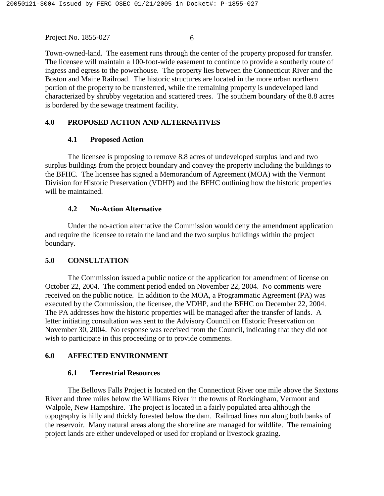Town-owned-land. The easement runs through the center of the property proposed for transfer. The licensee will maintain a 100-foot-wide easement to continue to provide a southerly route of ingress and egress to the powerhouse. The property lies between the Connecticut River and the Boston and Maine Railroad. The historic structures are located in the more urban northern portion of the property to be transferred, while the remaining property is undeveloped land characterized by shrubby vegetation and scattered trees. The southern boundary of the 8.8 acres is bordered by the sewage treatment facility.

## **4.0 PROPOSED ACTION AND ALTERNATIVES**

## **4.1 Proposed Action**

The licensee is proposing to remove 8.8 acres of undeveloped surplus land and two surplus buildings from the project boundary and convey the property including the buildings to the BFHC. The licensee has signed a Memorandum of Agreement (MOA) with the Vermont Division for Historic Preservation (VDHP) and the BFHC outlining how the historic properties will be maintained.

#### **4.2 No-Action Alternative**

Under the no-action alternative the Commission would deny the amendment application and require the licensee to retain the land and the two surplus buildings within the project boundary.

## **5.0 CONSULTATION**

The Commission issued a public notice of the application for amendment of license on October 22, 2004. The comment period ended on November 22, 2004. No comments were received on the public notice. In addition to the MOA, a Programmatic Agreement (PA) was executed by the Commission, the licensee, the VDHP, and the BFHC on December 22, 2004. The PA addresses how the historic properties will be managed after the transfer of lands. A letter initiating consultation was sent to the Advisory Council on Historic Preservation on November 30, 2004. No response was received from the Council, indicating that they did not wish to participate in this proceeding or to provide comments.

## **6.0 AFFECTED ENVIRONMENT**

#### **6.1 Terrestrial Resources**

The Bellows Falls Project is located on the Connecticut River one mile above the Saxtons River and three miles below the Williams River in the towns of Rockingham, Vermont and Walpole, New Hampshire. The project is located in a fairly populated area although the topography is hilly and thickly forested below the dam. Railroad lines run along both banks of the reservoir. Many natural areas along the shoreline are managed for wildlife. The remaining project lands are either undeveloped or used for cropland or livestock grazing.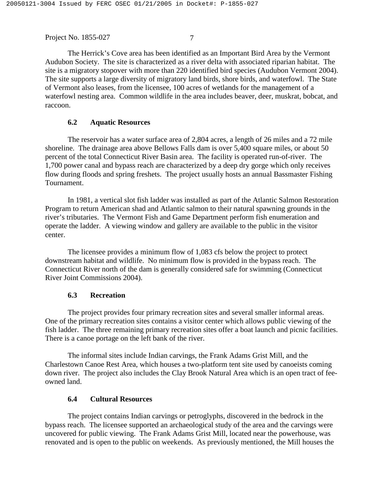The Herrick's Cove area has been identified as an Important Bird Area by the Vermont Audubon Society. The site is characterized as a river delta with associated riparian habitat. The site is a migratory stopover with more than 220 identified bird species (Audubon Vermont 2004). The site supports a large diversity of migratory land birds, shore birds, and waterfowl. The State of Vermont also leases, from the licensee, 100 acres of wetlands for the management of a waterfowl nesting area. Common wildlife in the area includes beaver, deer, muskrat, bobcat, and raccoon.

#### **6.2 Aquatic Resources**

The reservoir has a water surface area of 2,804 acres, a length of 26 miles and a 72 mile shoreline. The drainage area above Bellows Falls dam is over 5,400 square miles, or about 50 percent of the total Connecticut River Basin area. The facility is operated run-of-river. The 1,700 power canal and bypass reach are characterized by a deep dry gorge which only receives flow during floods and spring freshets. The project usually hosts an annual Bassmaster Fishing Tournament.

In 1981, a vertical slot fish ladder was installed as part of the Atlantic Salmon Restoration Program to return American shad and Atlantic salmon to their natural spawning grounds in the river's tributaries. The Vermont Fish and Game Department perform fish enumeration and operate the ladder. A viewing window and gallery are available to the public in the visitor center.

The licensee provides a minimum flow of 1,083 cfs below the project to protect downstream habitat and wildlife. No minimum flow is provided in the bypass reach. The Connecticut River north of the dam is generally considered safe for swimming (Connecticut River Joint Commissions 2004).

#### **6.3 Recreation**

The project provides four primary recreation sites and several smaller informal areas. One of the primary recreation sites contains a visitor center which allows public viewing of the fish ladder. The three remaining primary recreation sites offer a boat launch and picnic facilities. There is a canoe portage on the left bank of the river.

The informal sites include Indian carvings, the Frank Adams Grist Mill, and the Charlestown Canoe Rest Area, which houses a two-platform tent site used by canoeists coming down river. The project also includes the Clay Brook Natural Area which is an open tract of feeowned land.

#### **6.4 Cultural Resources**

The project contains Indian carvings or petroglyphs, discovered in the bedrock in the bypass reach. The licensee supported an archaeological study of the area and the carvings were uncovered for public viewing. The Frank Adams Grist Mill, located near the powerhouse, was renovated and is open to the public on weekends. As previously mentioned, the Mill houses the